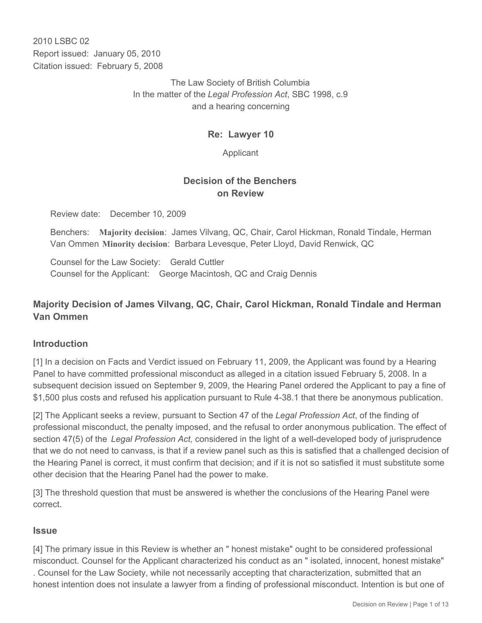2010 LSBC 02 Report issued: January 05, 2010 Citation issued: February 5, 2008

> The Law Society of British Columbia In the matter of the *Legal Profession Act*, SBC 1998, c.9 and a hearing concerning

### **Re: Lawyer 10**

Applicant

# **Decision of the Benchers on Review**

Review date: December 10, 2009

Benchers: **Majority decision**: James Vilvang, QC, Chair, Carol Hickman, Ronald Tindale, Herman Van Ommen **Minority decision**: Barbara Levesque, Peter Lloyd, David Renwick, QC

Counsel for the Law Society: Gerald Cuttler Counsel for the Applicant: George Macintosh, QC and Craig Dennis

# **Majority Decision of James Vilvang, QC, Chair, Carol Hickman, Ronald Tindale and Herman Van Ommen**

# **Introduction**

[1] In a decision on Facts and Verdict issued on February 11, 2009, the Applicant was found by a Hearing Panel to have committed professional misconduct as alleged in a citation issued February 5, 2008. In a subsequent decision issued on September 9, 2009, the Hearing Panel ordered the Applicant to pay a fine of \$1,500 plus costs and refused his application pursuant to Rule 4-38.1 that there be anonymous publication.

[2] The Applicant seeks a review, pursuant to Section 47 of the *Legal Profession Act*, of the finding of professional misconduct, the penalty imposed, and the refusal to order anonymous publication. The effect of section 47(5) of the *Legal Profession Act,* considered in the light of a well-developed body of jurisprudence that we do not need to canvass, is that if a review panel such as this is satisfied that a challenged decision of the Hearing Panel is correct, it must confirm that decision; and if it is not so satisfied it must substitute some other decision that the Hearing Panel had the power to make.

[3] The threshold question that must be answered is whether the conclusions of the Hearing Panel were correct.

#### **Issue**

[4] The primary issue in this Review is whether an " honest mistake" ought to be considered professional misconduct. Counsel for the Applicant characterized his conduct as an " isolated, innocent, honest mistake" . Counsel for the Law Society, while not necessarily accepting that characterization, submitted that an honest intention does not insulate a lawyer from a finding of professional misconduct. Intention is but one of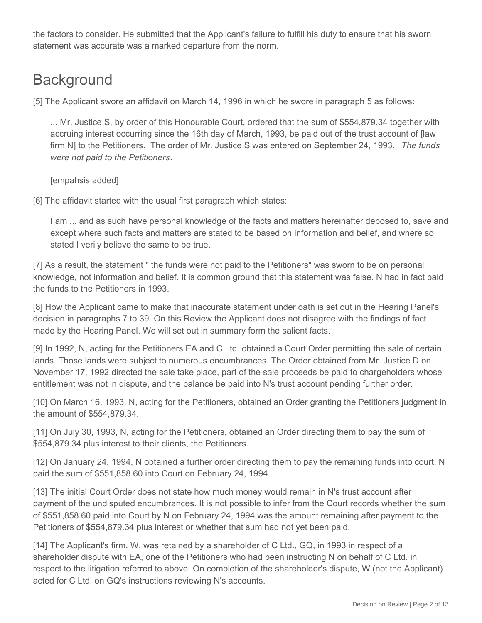the factors to consider. He submitted that the Applicant's failure to fulfill his duty to ensure that his sworn statement was accurate was a marked departure from the norm.

# **Background**

[5] The Applicant swore an affidavit on March 14, 1996 in which he swore in paragraph 5 as follows:

... Mr. Justice S, by order of this Honourable Court, ordered that the sum of \$554,879.34 together with accruing interest occurring since the 16th day of March, 1993, be paid out of the trust account of [law firm N] to the Petitioners. The order of Mr. Justice S was entered on September 24, 1993. *The funds were not paid to the Petitioners*.

[empahsis added]

[6] The affidavit started with the usual first paragraph which states:

I am ... and as such have personal knowledge of the facts and matters hereinafter deposed to, save and except where such facts and matters are stated to be based on information and belief, and where so stated I verily believe the same to be true.

[7] As a result, the statement " the funds were not paid to the Petitioners" was sworn to be on personal knowledge, not information and belief. It is common ground that this statement was false. N had in fact paid the funds to the Petitioners in 1993.

[8] How the Applicant came to make that inaccurate statement under oath is set out in the Hearing Panel's decision in paragraphs 7 to 39. On this Review the Applicant does not disagree with the findings of fact made by the Hearing Panel. We will set out in summary form the salient facts.

[9] In 1992, N, acting for the Petitioners EA and C Ltd. obtained a Court Order permitting the sale of certain lands. Those lands were subject to numerous encumbrances. The Order obtained from Mr. Justice D on November 17, 1992 directed the sale take place, part of the sale proceeds be paid to chargeholders whose entitlement was not in dispute, and the balance be paid into N's trust account pending further order.

[10] On March 16, 1993, N, acting for the Petitioners, obtained an Order granting the Petitioners judgment in the amount of \$554,879.34.

[11] On July 30, 1993, N, acting for the Petitioners, obtained an Order directing them to pay the sum of \$554,879.34 plus interest to their clients, the Petitioners.

[12] On January 24, 1994, N obtained a further order directing them to pay the remaining funds into court. N paid the sum of \$551,858.60 into Court on February 24, 1994.

[13] The initial Court Order does not state how much money would remain in N's trust account after payment of the undisputed encumbrances. It is not possible to infer from the Court records whether the sum of \$551,858.60 paid into Court by N on February 24, 1994 was the amount remaining after payment to the Petitioners of \$554,879.34 plus interest or whether that sum had not yet been paid.

[14] The Applicant's firm, W, was retained by a shareholder of C Ltd., GQ, in 1993 in respect of a shareholder dispute with EA, one of the Petitioners who had been instructing N on behalf of C Ltd. in respect to the litigation referred to above. On completion of the shareholder's dispute, W (not the Applicant) acted for C Ltd. on GQ's instructions reviewing N's accounts.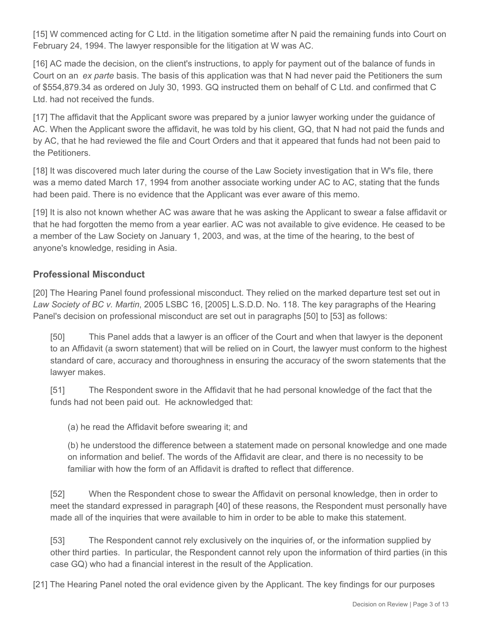[15] W commenced acting for C Ltd. in the litigation sometime after N paid the remaining funds into Court on February 24, 1994. The lawyer responsible for the litigation at W was AC.

[16] AC made the decision, on the client's instructions, to apply for payment out of the balance of funds in Court on an *ex parte* basis. The basis of this application was that N had never paid the Petitioners the sum of \$554,879.34 as ordered on July 30, 1993. GQ instructed them on behalf of C Ltd. and confirmed that C Ltd. had not received the funds.

[17] The affidavit that the Applicant swore was prepared by a junior lawyer working under the guidance of AC. When the Applicant swore the affidavit, he was told by his client, GQ, that N had not paid the funds and by AC, that he had reviewed the file and Court Orders and that it appeared that funds had not been paid to the Petitioners.

[18] It was discovered much later during the course of the Law Society investigation that in W's file, there was a memo dated March 17, 1994 from another associate working under AC to AC, stating that the funds had been paid. There is no evidence that the Applicant was ever aware of this memo.

[19] It is also not known whether AC was aware that he was asking the Applicant to swear a false affidavit or that he had forgotten the memo from a year earlier. AC was not available to give evidence. He ceased to be a member of the Law Society on January 1, 2003, and was, at the time of the hearing, to the best of anyone's knowledge, residing in Asia.

# **Professional Misconduct**

[20] The Hearing Panel found professional misconduct. They relied on the marked departure test set out in *Law Society of BC v. Martin*, 2005 LSBC 16, [2005] L.S.D.D. No. 118. The key paragraphs of the Hearing Panel's decision on professional misconduct are set out in paragraphs [50] to [53] as follows:

[50] This Panel adds that a lawyer is an officer of the Court and when that lawyer is the deponent to an Affidavit (a sworn statement) that will be relied on in Court, the lawyer must conform to the highest standard of care, accuracy and thoroughness in ensuring the accuracy of the sworn statements that the lawyer makes.

[51] The Respondent swore in the Affidavit that he had personal knowledge of the fact that the funds had not been paid out. He acknowledged that:

(a) he read the Affidavit before swearing it; and

(b) he understood the difference between a statement made on personal knowledge and one made on information and belief. The words of the Affidavit are clear, and there is no necessity to be familiar with how the form of an Affidavit is drafted to reflect that difference.

[52] When the Respondent chose to swear the Affidavit on personal knowledge, then in order to meet the standard expressed in paragraph [40] of these reasons, the Respondent must personally have made all of the inquiries that were available to him in order to be able to make this statement.

[53] The Respondent cannot rely exclusively on the inquiries of, or the information supplied by other third parties. In particular, the Respondent cannot rely upon the information of third parties (in this case GQ) who had a financial interest in the result of the Application.

[21] The Hearing Panel noted the oral evidence given by the Applicant. The key findings for our purposes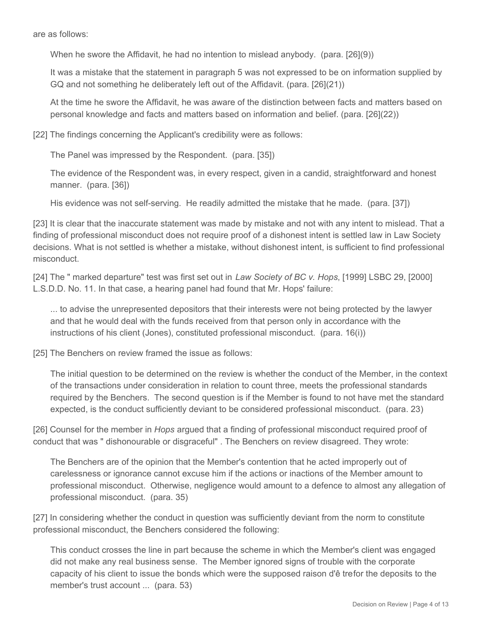are as follows:

When he swore the Affidavit, he had no intention to mislead anybody. (para. [26](9))

It was a mistake that the statement in paragraph 5 was not expressed to be on information supplied by GQ and not something he deliberately left out of the Affidavit. (para. [26](21))

At the time he swore the Affidavit, he was aware of the distinction between facts and matters based on personal knowledge and facts and matters based on information and belief. (para. [26](22))

[22] The findings concerning the Applicant's credibility were as follows:

The Panel was impressed by the Respondent. (para. [35])

The evidence of the Respondent was, in every respect, given in a candid, straightforward and honest manner. (para. [36])

His evidence was not self-serving. He readily admitted the mistake that he made. (para. [37])

[23] It is clear that the inaccurate statement was made by mistake and not with any intent to mislead. That a finding of professional misconduct does not require proof of a dishonest intent is settled law in Law Society decisions. What is not settled is whether a mistake, without dishonest intent, is sufficient to find professional misconduct.

[24] The " marked departure" test was first set out in *Law Society of BC v. Hops*, [1999] LSBC 29, [2000] L.S.D.D. No. 11. In that case, a hearing panel had found that Mr. Hops' failure:

... to advise the unrepresented depositors that their interests were not being protected by the lawyer and that he would deal with the funds received from that person only in accordance with the instructions of his client (Jones), constituted professional misconduct. (para. 16(i))

[25] The Benchers on review framed the issue as follows:

The initial question to be determined on the review is whether the conduct of the Member, in the context of the transactions under consideration in relation to count three, meets the professional standards required by the Benchers. The second question is if the Member is found to not have met the standard expected, is the conduct sufficiently deviant to be considered professional misconduct. (para. 23)

[26] Counsel for the member in *Hops* argued that a finding of professional misconduct required proof of conduct that was " dishonourable or disgraceful" . The Benchers on review disagreed. They wrote:

The Benchers are of the opinion that the Member's contention that he acted improperly out of carelessness or ignorance cannot excuse him if the actions or inactions of the Member amount to professional misconduct. Otherwise, negligence would amount to a defence to almost any allegation of professional misconduct. (para. 35)

[27] In considering whether the conduct in question was sufficiently deviant from the norm to constitute professional misconduct, the Benchers considered the following:

This conduct crosses the line in part because the scheme in which the Member's client was engaged did not make any real business sense. The Member ignored signs of trouble with the corporate capacity of his client to issue the bonds which were the supposed raison d'ê trefor the deposits to the member's trust account ... (para. 53)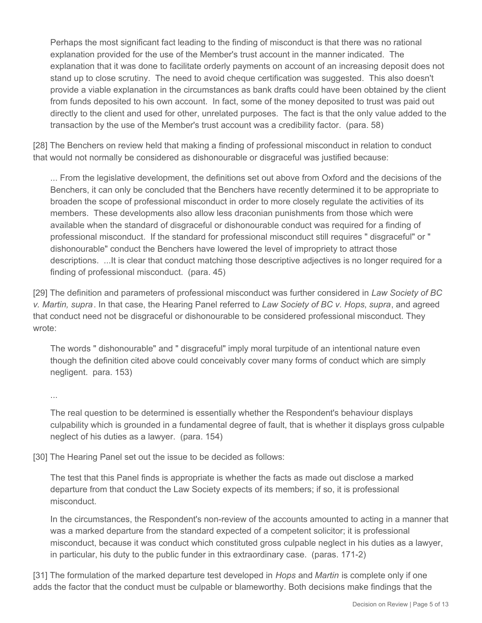Perhaps the most significant fact leading to the finding of misconduct is that there was no rational explanation provided for the use of the Member's trust account in the manner indicated. The explanation that it was done to facilitate orderly payments on account of an increasing deposit does not stand up to close scrutiny. The need to avoid cheque certification was suggested. This also doesn't provide a viable explanation in the circumstances as bank drafts could have been obtained by the client from funds deposited to his own account. In fact, some of the money deposited to trust was paid out directly to the client and used for other, unrelated purposes. The fact is that the only value added to the transaction by the use of the Member's trust account was a credibility factor. (para. 58)

[28] The Benchers on review held that making a finding of professional misconduct in relation to conduct that would not normally be considered as dishonourable or disgraceful was justified because:

... From the legislative development, the definitions set out above from Oxford and the decisions of the Benchers, it can only be concluded that the Benchers have recently determined it to be appropriate to broaden the scope of professional misconduct in order to more closely regulate the activities of its members. These developments also allow less draconian punishments from those which were available when the standard of disgraceful or dishonourable conduct was required for a finding of professional misconduct. If the standard for professional misconduct still requires " disgraceful" or " dishonourable" conduct the Benchers have lowered the level of impropriety to attract those descriptions. ...It is clear that conduct matching those descriptive adjectives is no longer required for a finding of professional misconduct. (para. 45)

[29] The definition and parameters of professional misconduct was further considered in *Law Society of BC v. Martin, supra*. In that case, the Hearing Panel referred to *Law Society of BC v. Hops*, *supra*, and agreed that conduct need not be disgraceful or dishonourable to be considered professional misconduct. They wrote:

The words " dishonourable" and " disgraceful" imply moral turpitude of an intentional nature even though the definition cited above could conceivably cover many forms of conduct which are simply negligent. para. 153)

...

The real question to be determined is essentially whether the Respondent's behaviour displays culpability which is grounded in a fundamental degree of fault, that is whether it displays gross culpable neglect of his duties as a lawyer. (para. 154)

[30] The Hearing Panel set out the issue to be decided as follows:

The test that this Panel finds is appropriate is whether the facts as made out disclose a marked departure from that conduct the Law Society expects of its members; if so, it is professional misconduct.

In the circumstances, the Respondent's non-review of the accounts amounted to acting in a manner that was a marked departure from the standard expected of a competent solicitor; it is professional misconduct, because it was conduct which constituted gross culpable neglect in his duties as a lawyer, in particular, his duty to the public funder in this extraordinary case. (paras. 171-2)

[31] The formulation of the marked departure test developed in *Hops* and *Martin* is complete only if one adds the factor that the conduct must be culpable or blameworthy. Both decisions make findings that the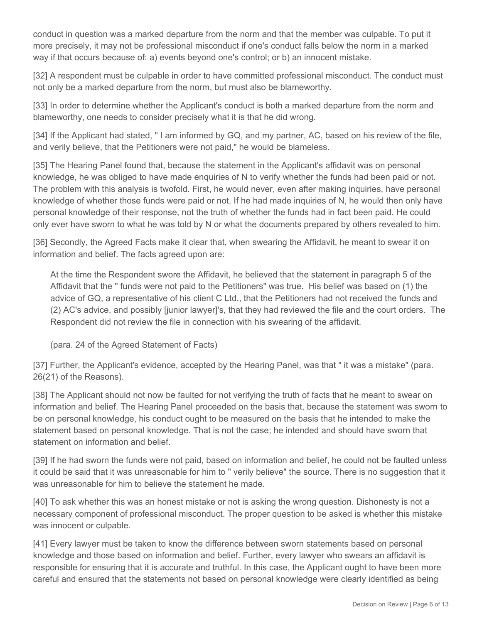conduct in question was a marked departure from the norm and that the member was culpable. To put it more precisely, it may not be professional misconduct if one's conduct falls below the norm in a marked way if that occurs because of: a) events beyond one's control; or b) an innocent mistake.

[32] A respondent must be culpable in order to have committed professional misconduct. The conduct must not only be a marked departure from the norm, but must also be blameworthy.

[33] In order to determine whether the Applicant's conduct is both a marked departure from the norm and blameworthy, one needs to consider precisely what it is that he did wrong.

[34] If the Applicant had stated, " I am informed by GQ, and my partner, AC, based on his review of the file, and verily believe, that the Petitioners were not paid," he would be blameless.

[35] The Hearing Panel found that, because the statement in the Applicant's affidavit was on personal knowledge, he was obliged to have made enquiries of N to verify whether the funds had been paid or not. The problem with this analysis is twofold. First, he would never, even after making inquiries, have personal knowledge of whether those funds were paid or not. If he had made inquiries of N, he would then only have personal knowledge of their response, not the truth of whether the funds had in fact been paid. He could only ever have sworn to what he was told by N or what the documents prepared by others revealed to him.

[36] Secondly, the Agreed Facts make it clear that, when swearing the Affidavit, he meant to swear it on information and belief. The facts agreed upon are:

At the time the Respondent swore the Affidavit, he believed that the statement in paragraph 5 of the Affidavit that the " funds were not paid to the Petitioners" was true. His belief was based on (1) the advice of GQ, a representative of his client C Ltd., that the Petitioners had not received the funds and (2) AC's advice, and possibly [junior lawyer]'s, that they had reviewed the file and the court orders. The Respondent did not review the file in connection with his swearing of the affidavit.

(para. 24 of the Agreed Statement of Facts)

[37] Further, the Applicant's evidence, accepted by the Hearing Panel, was that " it was a mistake" (para. 26(21) of the Reasons).

[38] The Applicant should not now be faulted for not verifying the truth of facts that he meant to swear on information and belief. The Hearing Panel proceeded on the basis that, because the statement was sworn to be on personal knowledge, his conduct ought to be measured on the basis that he intended to make the statement based on personal knowledge. That is not the case; he intended and should have sworn that statement on information and belief.

[39] If he had sworn the funds were not paid, based on information and belief, he could not be faulted unless it could be said that it was unreasonable for him to " verily believe" the source. There is no suggestion that it was unreasonable for him to believe the statement he made.

[40] To ask whether this was an honest mistake or not is asking the wrong question. Dishonesty is not a necessary component of professional misconduct. The proper question to be asked is whether this mistake was innocent or culpable.

[41] Every lawyer must be taken to know the difference between sworn statements based on personal knowledge and those based on information and belief. Further, every lawyer who swears an affidavit is responsible for ensuring that it is accurate and truthful. In this case, the Applicant ought to have been more careful and ensured that the statements not based on personal knowledge were clearly identified as being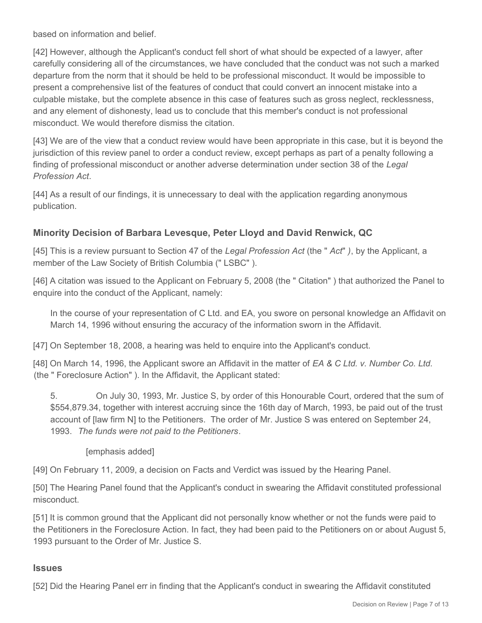based on information and belief.

[42] However, although the Applicant's conduct fell short of what should be expected of a lawyer, after carefully considering all of the circumstances, we have concluded that the conduct was not such a marked departure from the norm that it should be held to be professional misconduct. It would be impossible to present a comprehensive list of the features of conduct that could convert an innocent mistake into a culpable mistake, but the complete absence in this case of features such as gross neglect, recklessness, and any element of dishonesty, lead us to conclude that this member's conduct is not professional misconduct. We would therefore dismiss the citation.

[43] We are of the view that a conduct review would have been appropriate in this case, but it is beyond the jurisdiction of this review panel to order a conduct review, except perhaps as part of a penalty following a finding of professional misconduct or another adverse determination under section 38 of the *Legal Profession Act*.

[44] As a result of our findings, it is unnecessary to deal with the application regarding anonymous publication.

# **Minority Decision of Barbara Levesque, Peter Lloyd and David Renwick, QC**

[45] This is a review pursuant to Section 47 of the *Legal Profession Act* (the " *Act*" *)*, by the Applicant, a member of the Law Society of British Columbia (" LSBC" ).

[46] A citation was issued to the Applicant on February 5, 2008 (the " Citation") that authorized the Panel to enquire into the conduct of the Applicant, namely:

In the course of your representation of C Ltd. and EA, you swore on personal knowledge an Affidavit on March 14, 1996 without ensuring the accuracy of the information sworn in the Affidavit.

[47] On September 18, 2008, a hearing was held to enquire into the Applicant's conduct.

[48] On March 14, 1996, the Applicant swore an Affidavit in the matter of *EA & C Ltd. v. Number Co. Ltd.* (the " Foreclosure Action" ). In the Affidavit, the Applicant stated:

5. On July 30, 1993, Mr. Justice S, by order of this Honourable Court, ordered that the sum of \$554,879.34, together with interest accruing since the 16th day of March, 1993, be paid out of the trust account of [law firm N] to the Petitioners. The order of Mr. Justice S was entered on September 24, 1993. *The funds were not paid to the Petitioners*.

[emphasis added]

[49] On February 11, 2009, a decision on Facts and Verdict was issued by the Hearing Panel.

[50] The Hearing Panel found that the Applicant's conduct in swearing the Affidavit constituted professional misconduct.

[51] It is common ground that the Applicant did not personally know whether or not the funds were paid to the Petitioners in the Foreclosure Action. In fact, they had been paid to the Petitioners on or about August 5, 1993 pursuant to the Order of Mr. Justice S.

#### **Issues**

[52] Did the Hearing Panel err in finding that the Applicant's conduct in swearing the Affidavit constituted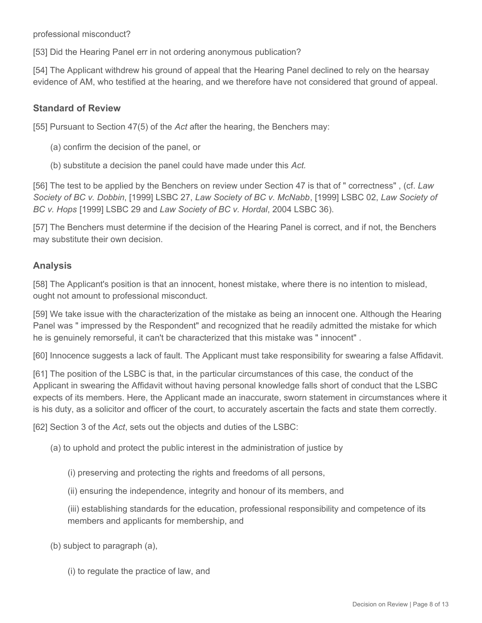professional misconduct?

[53] Did the Hearing Panel err in not ordering anonymous publication?

[54] The Applicant withdrew his ground of appeal that the Hearing Panel declined to rely on the hearsay evidence of AM, who testified at the hearing, and we therefore have not considered that ground of appeal.

#### **Standard of Review**

[55] Pursuant to Section 47(5) of the *Act* after the hearing, the Benchers may:

- (a) confirm the decision of the panel, or
- (b) substitute a decision the panel could have made under this *Act.*

[56] The test to be applied by the Benchers on review under Section 47 is that of " correctness" , (cf. *Law Society of BC v. Dobbin*, [1999] LSBC 27, *Law Society of BC v. McNabb*, [1999] LSBC 02, *Law Society of BC v. Hops* [1999] LSBC 29 and *Law Society of BC v. Hordal*, 2004 LSBC 36).

[57] The Benchers must determine if the decision of the Hearing Panel is correct, and if not, the Benchers may substitute their own decision.

### **Analysis**

[58] The Applicant's position is that an innocent, honest mistake, where there is no intention to mislead, ought not amount to professional misconduct.

[59] We take issue with the characterization of the mistake as being an innocent one. Although the Hearing Panel was " impressed by the Respondent" and recognized that he readily admitted the mistake for which he is genuinely remorseful, it can't be characterized that this mistake was " innocent" .

[60] Innocence suggests a lack of fault. The Applicant must take responsibility for swearing a false Affidavit.

[61] The position of the LSBC is that, in the particular circumstances of this case, the conduct of the Applicant in swearing the Affidavit without having personal knowledge falls short of conduct that the LSBC expects of its members. Here, the Applicant made an inaccurate, sworn statement in circumstances where it is his duty, as a solicitor and officer of the court, to accurately ascertain the facts and state them correctly.

[62] Section 3 of the *Act*, sets out the objects and duties of the LSBC:

- (a) to uphold and protect the public interest in the administration of justice by
	- (i) preserving and protecting the rights and freedoms of all persons,
	- (ii) ensuring the independence, integrity and honour of its members, and
	- (iii) establishing standards for the education, professional responsibility and competence of its members and applicants for membership, and
- (b) subject to paragraph (a),
	- (i) to regulate the practice of law, and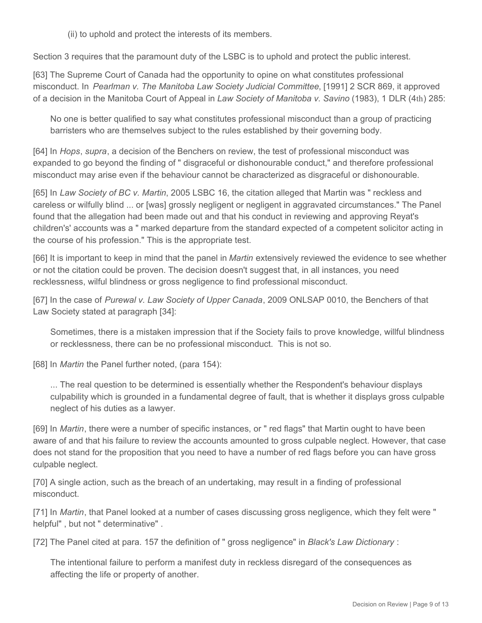(ii) to uphold and protect the interests of its members.

Section 3 requires that the paramount duty of the LSBC is to uphold and protect the public interest.

[63] The Supreme Court of Canada had the opportunity to opine on what constitutes professional misconduct. In *Pearlman v. The Manitoba Law Society Judicial Committee*, [1991] 2 SCR 869, it approved of a decision in the Manitoba Court of Appeal in *Law Society of Manitoba v. Savino* (1983), 1 DLR (4th) 285:

No one is better qualified to say what constitutes professional misconduct than a group of practicing barristers who are themselves subject to the rules established by their governing body.

[64] In *Hops*, *supra*, a decision of the Benchers on review, the test of professional misconduct was expanded to go beyond the finding of " disgraceful or dishonourable conduct," and therefore professional misconduct may arise even if the behaviour cannot be characterized as disgraceful or dishonourable.

[65] In *Law Society of BC v. Martin*, 2005 LSBC 16, the citation alleged that Martin was " reckless and careless or wilfully blind ... or [was] grossly negligent or negligent in aggravated circumstances." The Panel found that the allegation had been made out and that his conduct in reviewing and approving Reyat's children's' accounts was a " marked departure from the standard expected of a competent solicitor acting in the course of his profession." This is the appropriate test.

[66] It is important to keep in mind that the panel in *Martin* extensively reviewed the evidence to see whether or not the citation could be proven. The decision doesn't suggest that, in all instances, you need recklessness, wilful blindness or gross negligence to find professional misconduct.

[67] In the case of *Purewal v. Law Society of Upper Canada*, 2009 ONLSAP 0010, the Benchers of that Law Society stated at paragraph [34]:

Sometimes, there is a mistaken impression that if the Society fails to prove knowledge, willful blindness or recklessness, there can be no professional misconduct. This is not so.

[68] In *Martin* the Panel further noted, (para 154):

... The real question to be determined is essentially whether the Respondent's behaviour displays culpability which is grounded in a fundamental degree of fault, that is whether it displays gross culpable neglect of his duties as a lawyer.

[69] In *Martin*, there were a number of specific instances, or " red flags" that Martin ought to have been aware of and that his failure to review the accounts amounted to gross culpable neglect. However, that case does not stand for the proposition that you need to have a number of red flags before you can have gross culpable neglect.

[70] A single action, such as the breach of an undertaking, may result in a finding of professional misconduct.

[71] In *Martin*, that Panel looked at a number of cases discussing gross negligence, which they felt were " helpful" , but not " determinative" .

[72] The Panel cited at para. 157 the definition of " gross negligence" in *Black's Law Dictionary* :

The intentional failure to perform a manifest duty in reckless disregard of the consequences as affecting the life or property of another.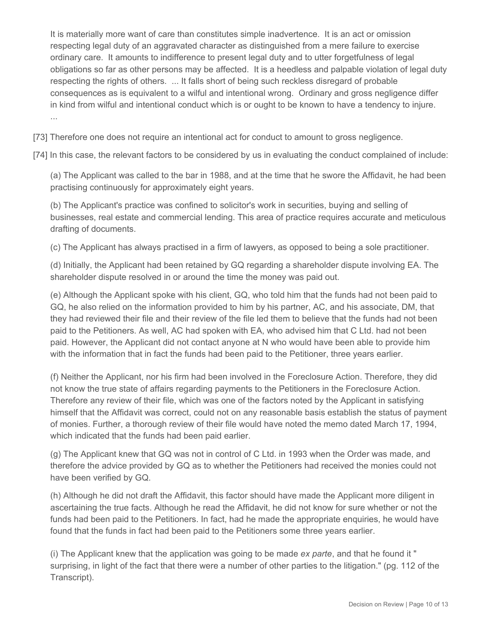It is materially more want of care than constitutes simple inadvertence. It is an act or omission respecting legal duty of an aggravated character as distinguished from a mere failure to exercise ordinary care. It amounts to indifference to present legal duty and to utter forgetfulness of legal obligations so far as other persons may be affected. It is a heedless and palpable violation of legal duty respecting the rights of others. ... It falls short of being such reckless disregard of probable consequences as is equivalent to a wilful and intentional wrong. Ordinary and gross negligence differ in kind from wilful and intentional conduct which is or ought to be known to have a tendency to injure. ...

[73] Therefore one does not require an intentional act for conduct to amount to gross negligence.

[74] In this case, the relevant factors to be considered by us in evaluating the conduct complained of include:

(a) The Applicant was called to the bar in 1988, and at the time that he swore the Affidavit, he had been practising continuously for approximately eight years.

(b) The Applicant's practice was confined to solicitor's work in securities, buying and selling of businesses, real estate and commercial lending. This area of practice requires accurate and meticulous drafting of documents.

(c) The Applicant has always practised in a firm of lawyers, as opposed to being a sole practitioner.

(d) Initially, the Applicant had been retained by GQ regarding a shareholder dispute involving EA. The shareholder dispute resolved in or around the time the money was paid out.

(e) Although the Applicant spoke with his client, GQ, who told him that the funds had not been paid to GQ, he also relied on the information provided to him by his partner, AC, and his associate, DM, that they had reviewed their file and their review of the file led them to believe that the funds had not been paid to the Petitioners. As well, AC had spoken with EA, who advised him that C Ltd. had not been paid. However, the Applicant did not contact anyone at N who would have been able to provide him with the information that in fact the funds had been paid to the Petitioner, three years earlier.

(f) Neither the Applicant, nor his firm had been involved in the Foreclosure Action. Therefore, they did not know the true state of affairs regarding payments to the Petitioners in the Foreclosure Action. Therefore any review of their file, which was one of the factors noted by the Applicant in satisfying himself that the Affidavit was correct, could not on any reasonable basis establish the status of payment of monies. Further, a thorough review of their file would have noted the memo dated March 17, 1994, which indicated that the funds had been paid earlier.

(g) The Applicant knew that GQ was not in control of C Ltd. in 1993 when the Order was made, and therefore the advice provided by GQ as to whether the Petitioners had received the monies could not have been verified by GQ.

(h) Although he did not draft the Affidavit, this factor should have made the Applicant more diligent in ascertaining the true facts. Although he read the Affidavit, he did not know for sure whether or not the funds had been paid to the Petitioners. In fact, had he made the appropriate enquiries, he would have found that the funds in fact had been paid to the Petitioners some three years earlier.

(i) The Applicant knew that the application was going to be made *ex parte*, and that he found it " surprising, in light of the fact that there were a number of other parties to the litigation." (pg. 112 of the Transcript).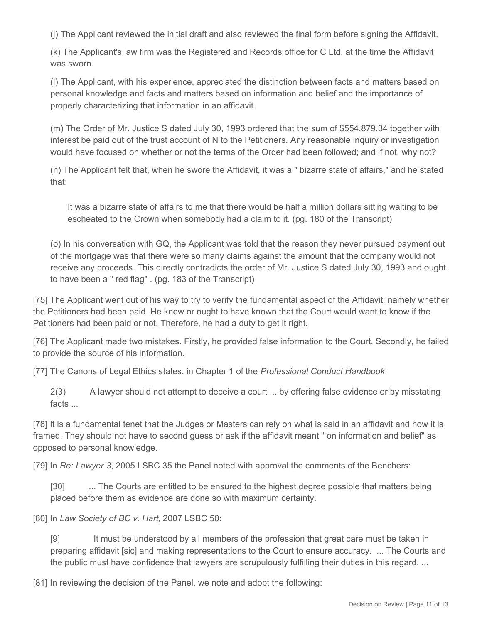(j) The Applicant reviewed the initial draft and also reviewed the final form before signing the Affidavit.

(k) The Applicant's law firm was the Registered and Records office for C Ltd. at the time the Affidavit was sworn.

(l) The Applicant, with his experience, appreciated the distinction between facts and matters based on personal knowledge and facts and matters based on information and belief and the importance of properly characterizing that information in an affidavit.

(m) The Order of Mr. Justice S dated July 30, 1993 ordered that the sum of \$554,879.34 together with interest be paid out of the trust account of N to the Petitioners. Any reasonable inquiry or investigation would have focused on whether or not the terms of the Order had been followed; and if not, why not?

(n) The Applicant felt that, when he swore the Affidavit, it was a " bizarre state of affairs," and he stated that:

It was a bizarre state of affairs to me that there would be half a million dollars sitting waiting to be escheated to the Crown when somebody had a claim to it. (pg. 180 of the Transcript)

(o) In his conversation with GQ, the Applicant was told that the reason they never pursued payment out of the mortgage was that there were so many claims against the amount that the company would not receive any proceeds. This directly contradicts the order of Mr. Justice S dated July 30, 1993 and ought to have been a " red flag" . (pg. 183 of the Transcript)

[75] The Applicant went out of his way to try to verify the fundamental aspect of the Affidavit; namely whether the Petitioners had been paid. He knew or ought to have known that the Court would want to know if the Petitioners had been paid or not. Therefore, he had a duty to get it right.

[76] The Applicant made two mistakes. Firstly, he provided false information to the Court. Secondly, he failed to provide the source of his information.

[77] The Canons of Legal Ethics states, in Chapter 1 of the *Professional Conduct Handbook*:

2(3) A lawyer should not attempt to deceive a court ... by offering false evidence or by misstating facts ...

[78] It is a fundamental tenet that the Judges or Masters can rely on what is said in an affidavit and how it is framed. They should not have to second guess or ask if the affidavit meant " on information and belief" as opposed to personal knowledge.

[79] In *Re: Lawyer 3*, 2005 LSBC 35 the Panel noted with approval the comments of the Benchers:

[30] ... The Courts are entitled to be ensured to the highest degree possible that matters being placed before them as evidence are done so with maximum certainty.

[80] In *Law Society of BC v. Hart*, 2007 LSBC 50:

[9] It must be understood by all members of the profession that great care must be taken in preparing affidavit [sic] and making representations to the Court to ensure accuracy. ... The Courts and the public must have confidence that lawyers are scrupulously fulfilling their duties in this regard. ...

[81] In reviewing the decision of the Panel, we note and adopt the following: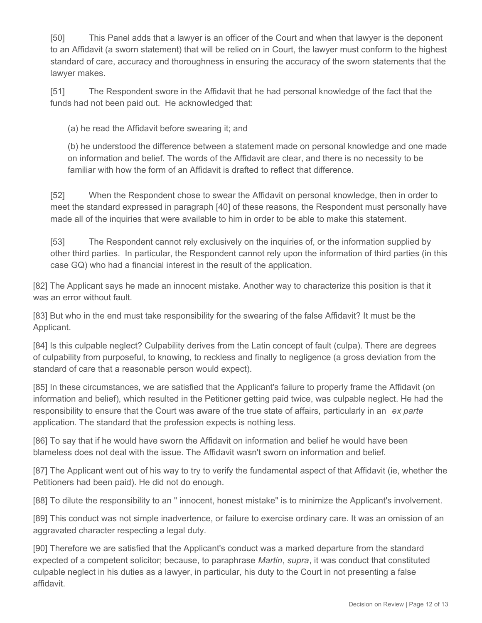[50] This Panel adds that a lawyer is an officer of the Court and when that lawyer is the deponent to an Affidavit (a sworn statement) that will be relied on in Court, the lawyer must conform to the highest standard of care, accuracy and thoroughness in ensuring the accuracy of the sworn statements that the lawyer makes.

[51] The Respondent swore in the Affidavit that he had personal knowledge of the fact that the funds had not been paid out. He acknowledged that:

(a) he read the Affidavit before swearing it; and

(b) he understood the difference between a statement made on personal knowledge and one made on information and belief. The words of the Affidavit are clear, and there is no necessity to be familiar with how the form of an Affidavit is drafted to reflect that difference.

[52] When the Respondent chose to swear the Affidavit on personal knowledge, then in order to meet the standard expressed in paragraph [40] of these reasons, the Respondent must personally have made all of the inquiries that were available to him in order to be able to make this statement.

[53] The Respondent cannot rely exclusively on the inquiries of, or the information supplied by other third parties. In particular, the Respondent cannot rely upon the information of third parties (in this case GQ) who had a financial interest in the result of the application.

[82] The Applicant says he made an innocent mistake. Another way to characterize this position is that it was an error without fault.

[83] But who in the end must take responsibility for the swearing of the false Affidavit? It must be the Applicant.

[84] Is this culpable neglect? Culpability derives from the Latin concept of fault (culpa). There are degrees of culpability from purposeful, to knowing, to reckless and finally to negligence (a gross deviation from the standard of care that a reasonable person would expect).

[85] In these circumstances, we are satisfied that the Applicant's failure to properly frame the Affidavit (on information and belief), which resulted in the Petitioner getting paid twice, was culpable neglect. He had the responsibility to ensure that the Court was aware of the true state of affairs, particularly in an *ex parte* application. The standard that the profession expects is nothing less.

[86] To say that if he would have sworn the Affidavit on information and belief he would have been blameless does not deal with the issue. The Affidavit wasn't sworn on information and belief.

[87] The Applicant went out of his way to try to verify the fundamental aspect of that Affidavit (ie, whether the Petitioners had been paid). He did not do enough.

[88] To dilute the responsibility to an " innocent, honest mistake" is to minimize the Applicant's involvement.

[89] This conduct was not simple inadvertence, or failure to exercise ordinary care. It was an omission of an aggravated character respecting a legal duty.

[90] Therefore we are satisfied that the Applicant's conduct was a marked departure from the standard expected of a competent solicitor; because, to paraphrase *Martin*, *supra*, it was conduct that constituted culpable neglect in his duties as a lawyer, in particular, his duty to the Court in not presenting a false affidavit.